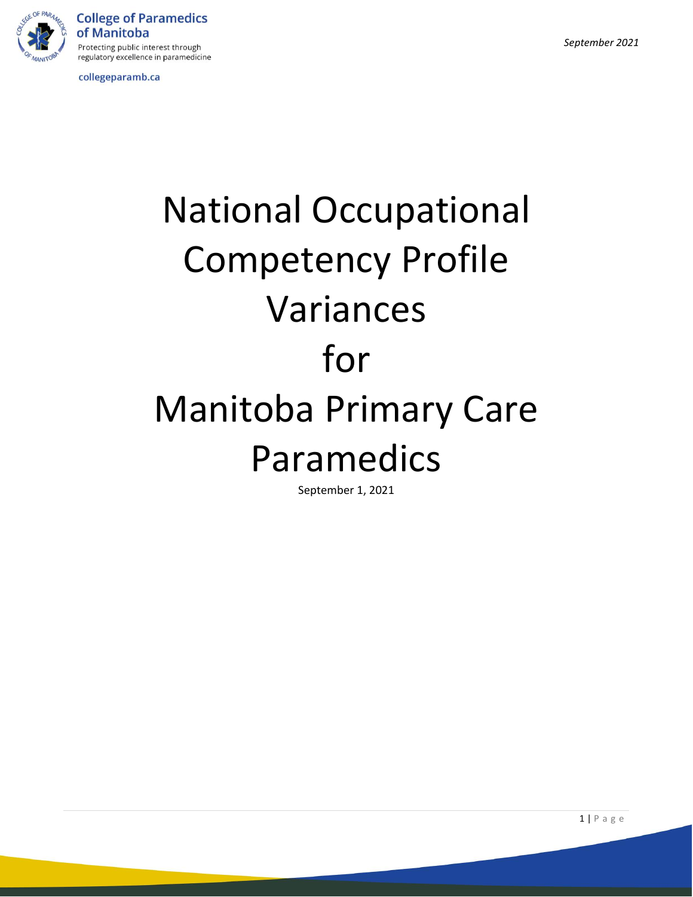

**College of Paramedics** of Manitoba Protecting public interest through regulatory excellence in paramedicine

collegeparamb.ca

# National Occupational Competency Profile Variances for Manitoba Primary Care Paramedics

September 1, 2021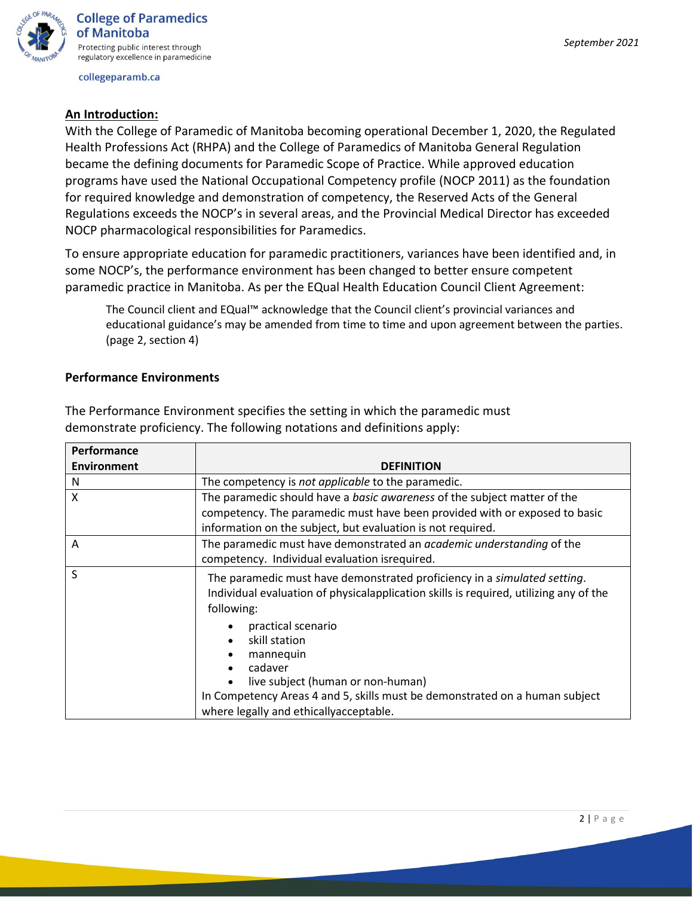

## **An Introduction:**

With the College of Paramedic of Manitoba becoming operational December 1, 2020, the Regulated Health Professions Act (RHPA) and the College of Paramedics of Manitoba General Regulation became the defining documents for Paramedic Scope of Practice. While approved education programs have used the National Occupational Competency profile (NOCP 2011) as the foundation for required knowledge and demonstration of competency, the Reserved Acts of the General Regulations exceeds the NOCP's in several areas, and the Provincial Medical Director has exceeded NOCP pharmacological responsibilities for Paramedics.

To ensure appropriate education for paramedic practitioners, variances have been identified and, in some NOCP's, the performance environment has been changed to better ensure competent paramedic practice in Manitoba. As per the EQual Health Education Council Client Agreement:

The Council client and EQual™ acknowledge that the Council client's provincial variances and educational guidance's may be amended from time to time and upon agreement between the parties. (page 2, section 4)

## **Performance Environments**

| <b>Performance</b> |                                                                                                                                                                                                                           |
|--------------------|---------------------------------------------------------------------------------------------------------------------------------------------------------------------------------------------------------------------------|
| <b>Environment</b> | <b>DEFINITION</b>                                                                                                                                                                                                         |
| N                  | The competency is not applicable to the paramedic.                                                                                                                                                                        |
| X                  | The paramedic should have a basic awareness of the subject matter of the                                                                                                                                                  |
|                    | competency. The paramedic must have been provided with or exposed to basic                                                                                                                                                |
|                    | information on the subject, but evaluation is not required.                                                                                                                                                               |
| A                  | The paramedic must have demonstrated an academic understanding of the                                                                                                                                                     |
|                    | competency. Individual evaluation isrequired.                                                                                                                                                                             |
| S                  | The paramedic must have demonstrated proficiency in a simulated setting.<br>Individual evaluation of physicalapplication skills is required, utilizing any of the<br>following:                                           |
|                    | practical scenario<br>skill station<br>mannequin<br>cadaver<br>live subject (human or non-human)<br>In Competency Areas 4 and 5, skills must be demonstrated on a human subject<br>where legally and ethicallyacceptable. |

The Performance Environment specifies the setting in which the paramedic must demonstrate proficiency. The following notations and definitions apply: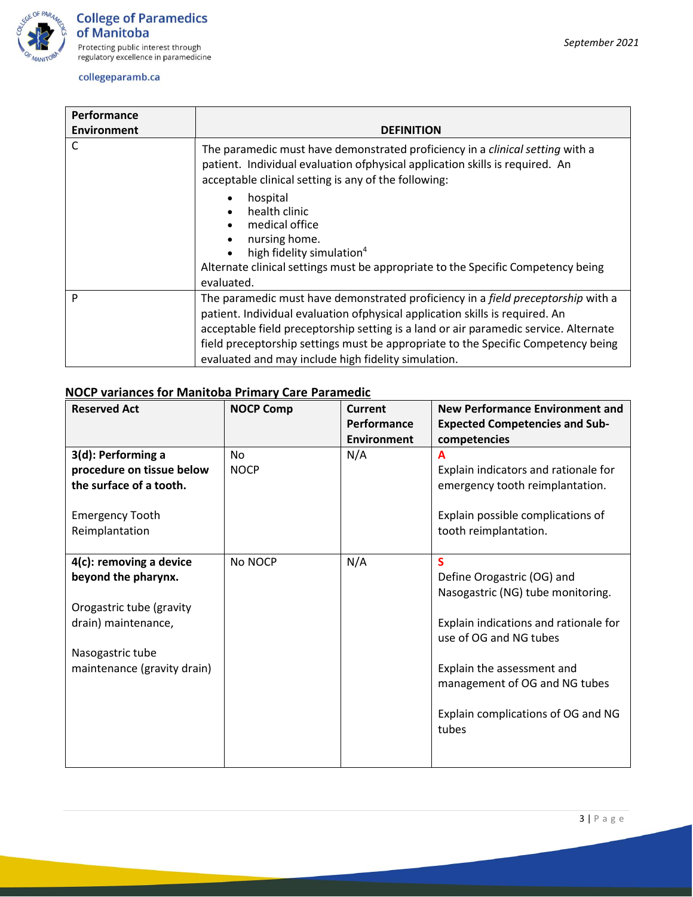

| <b>Performance</b> |                                                                                                                                                                                                                                                                                                                                                                                                              |
|--------------------|--------------------------------------------------------------------------------------------------------------------------------------------------------------------------------------------------------------------------------------------------------------------------------------------------------------------------------------------------------------------------------------------------------------|
| <b>Environment</b> | <b>DEFINITION</b>                                                                                                                                                                                                                                                                                                                                                                                            |
| C                  | The paramedic must have demonstrated proficiency in a clinical setting with a<br>patient. Individual evaluation of physical application skills is required. An<br>acceptable clinical setting is any of the following:                                                                                                                                                                                       |
|                    | hospital<br>$\bullet$<br>health clinic<br>$\bullet$<br>medical office<br>nursing home.<br>$\bullet$<br>high fidelity simulation <sup>4</sup><br>$\bullet$<br>Alternate clinical settings must be appropriate to the Specific Competency being<br>evaluated.                                                                                                                                                  |
| P                  | The paramedic must have demonstrated proficiency in a <i>field preceptorship</i> with a<br>patient. Individual evaluation of physical application skills is required. An<br>acceptable field preceptorship setting is a land or air paramedic service. Alternate<br>field preceptorship settings must be appropriate to the Specific Competency being<br>evaluated and may include high fidelity simulation. |

# **NOCP variances for Manitoba Primary Care Paramedic**

| <b>Reserved Act</b>                      | <b>NOCP Comp</b> | Current     | New Performance Environment and                            |
|------------------------------------------|------------------|-------------|------------------------------------------------------------|
|                                          |                  | Performance | <b>Expected Competencies and Sub-</b>                      |
|                                          |                  | Environment | competencies                                               |
| 3(d): Performing a                       | <b>No</b>        | N/A         | A                                                          |
| procedure on tissue below                | <b>NOCP</b>      |             | Explain indicators and rationale for                       |
| the surface of a tooth.                  |                  |             | emergency tooth reimplantation.                            |
| <b>Emergency Tooth</b><br>Reimplantation |                  |             | Explain possible complications of<br>tooth reimplantation. |
| 4(c): removing a device                  | No NOCP          | N/A         | <b>S</b>                                                   |
| beyond the pharynx.                      |                  |             | Define Orogastric (OG) and                                 |
|                                          |                  |             | Nasogastric (NG) tube monitoring.                          |
| Orogastric tube (gravity                 |                  |             |                                                            |
| drain) maintenance,                      |                  |             | Explain indications and rationale for                      |
|                                          |                  |             | use of OG and NG tubes                                     |
| Nasogastric tube                         |                  |             |                                                            |
| maintenance (gravity drain)              |                  |             | Explain the assessment and                                 |
|                                          |                  |             | management of OG and NG tubes                              |
|                                          |                  |             |                                                            |
|                                          |                  |             | Explain complications of OG and NG<br>tubes                |
|                                          |                  |             |                                                            |
|                                          |                  |             |                                                            |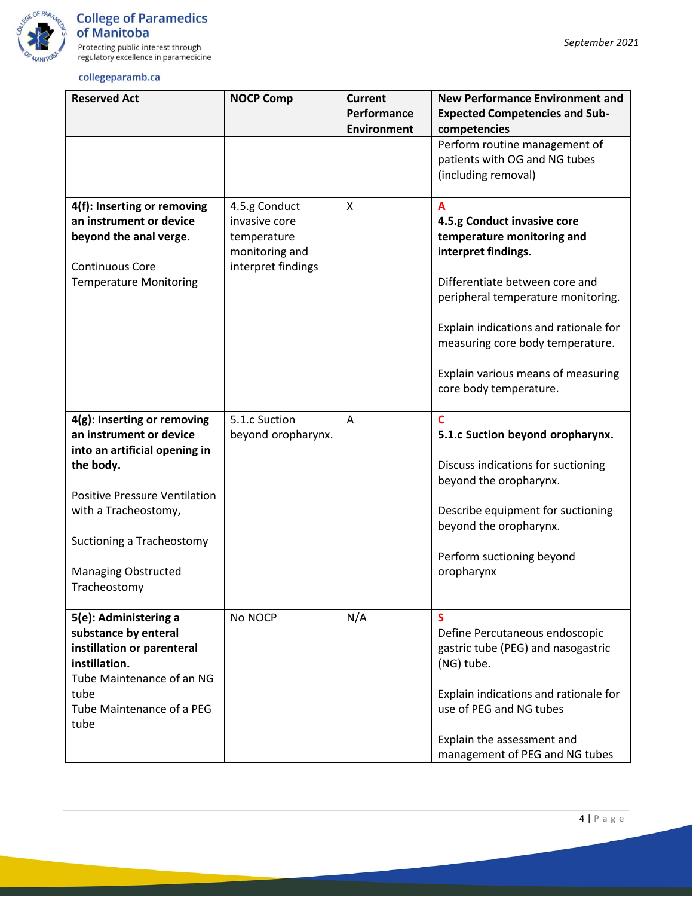

| <b>Reserved Act</b>                                                                                                                                                                                                                             | <b>NOCP Comp</b>                                                                      | Current                           | <b>New Performance Environment and</b>                                                                                                                                                                                                                                                                     |
|-------------------------------------------------------------------------------------------------------------------------------------------------------------------------------------------------------------------------------------------------|---------------------------------------------------------------------------------------|-----------------------------------|------------------------------------------------------------------------------------------------------------------------------------------------------------------------------------------------------------------------------------------------------------------------------------------------------------|
|                                                                                                                                                                                                                                                 |                                                                                       | Performance<br><b>Environment</b> | <b>Expected Competencies and Sub-</b><br>competencies                                                                                                                                                                                                                                                      |
|                                                                                                                                                                                                                                                 |                                                                                       |                                   | Perform routine management of<br>patients with OG and NG tubes<br>(including removal)                                                                                                                                                                                                                      |
| 4(f): Inserting or removing<br>an instrument or device<br>beyond the anal verge.<br><b>Continuous Core</b><br><b>Temperature Monitoring</b>                                                                                                     | 4.5.g Conduct<br>invasive core<br>temperature<br>monitoring and<br>interpret findings | X                                 | A<br>4.5.g Conduct invasive core<br>temperature monitoring and<br>interpret findings.<br>Differentiate between core and<br>peripheral temperature monitoring.<br>Explain indications and rationale for<br>measuring core body temperature.<br>Explain various means of measuring<br>core body temperature. |
| 4(g): Inserting or removing<br>an instrument or device<br>into an artificial opening in<br>the body.<br><b>Positive Pressure Ventilation</b><br>with a Tracheostomy,<br>Suctioning a Tracheostomy<br><b>Managing Obstructed</b><br>Tracheostomy | 5.1.c Suction<br>beyond oropharynx.                                                   | A                                 | $\mathbf C$<br>5.1.c Suction beyond oropharynx.<br>Discuss indications for suctioning<br>beyond the oropharynx.<br>Describe equipment for suctioning<br>beyond the oropharynx.<br>Perform suctioning beyond<br>oropharynx                                                                                  |
| 5(e): Administering a<br>substance by enteral<br>instillation or parenteral<br>instillation.<br>Tube Maintenance of an NG<br>tube<br>Tube Maintenance of a PEG<br>tube                                                                          | No NOCP                                                                               | N/A                               | S<br>Define Percutaneous endoscopic<br>gastric tube (PEG) and nasogastric<br>(NG) tube.<br>Explain indications and rationale for<br>use of PEG and NG tubes<br>Explain the assessment and<br>management of PEG and NG tubes                                                                                |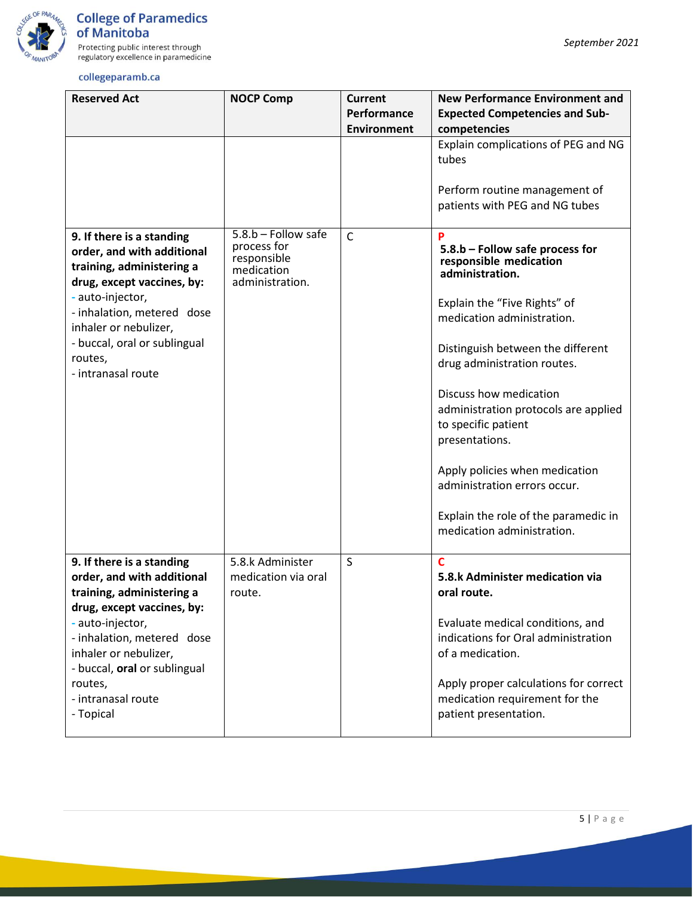

Protecting public interest through<br>regulatory excellence in paramedicine

| <b>Reserved Act</b>                                                                                                | <b>NOCP Comp</b>                                                                     | <b>Current</b><br>Performance | <b>New Performance Environment and</b><br><b>Expected Competencies and Sub-</b>                         |
|--------------------------------------------------------------------------------------------------------------------|--------------------------------------------------------------------------------------|-------------------------------|---------------------------------------------------------------------------------------------------------|
|                                                                                                                    |                                                                                      | <b>Environment</b>            | competencies                                                                                            |
|                                                                                                                    |                                                                                      |                               | Explain complications of PEG and NG<br>tubes                                                            |
|                                                                                                                    |                                                                                      |                               | Perform routine management of<br>patients with PEG and NG tubes                                         |
| 9. If there is a standing<br>order, and with additional<br>training, administering a<br>drug, except vaccines, by: | $5.8.b - Follow safe$<br>process for<br>responsible<br>medication<br>administration. | $\mathsf{C}$                  | P<br>5.8.b - Follow safe process for<br>responsible medication<br>administration.                       |
| - auto-injector,<br>- inhalation, metered dose<br>inhaler or nebulizer,                                            |                                                                                      |                               | Explain the "Five Rights" of<br>medication administration.                                              |
| - buccal, oral or sublingual<br>routes,<br>- intranasal route                                                      |                                                                                      |                               | Distinguish between the different<br>drug administration routes.                                        |
|                                                                                                                    |                                                                                      |                               | Discuss how medication<br>administration protocols are applied<br>to specific patient<br>presentations. |
|                                                                                                                    |                                                                                      |                               | Apply policies when medication<br>administration errors occur.                                          |
|                                                                                                                    |                                                                                      |                               | Explain the role of the paramedic in<br>medication administration.                                      |
| 9. If there is a standing<br>order, and with additional<br>training, administering a<br>drug, except vaccines, by: | 5.8.k Administer<br>medication via oral<br>route                                     | S                             | $\overline{c}$<br>5.8.k Administer medication via<br>oral route.                                        |
| - auto-injector,<br>- inhalation, metered dose<br>inhaler or nebulizer,<br>- buccal, oral or sublingual            |                                                                                      |                               | Evaluate medical conditions, and<br>indications for Oral administration<br>of a medication.             |
| routes,<br>- intranasal route<br>- Topical                                                                         |                                                                                      |                               | Apply proper calculations for correct<br>medication requirement for the<br>patient presentation.        |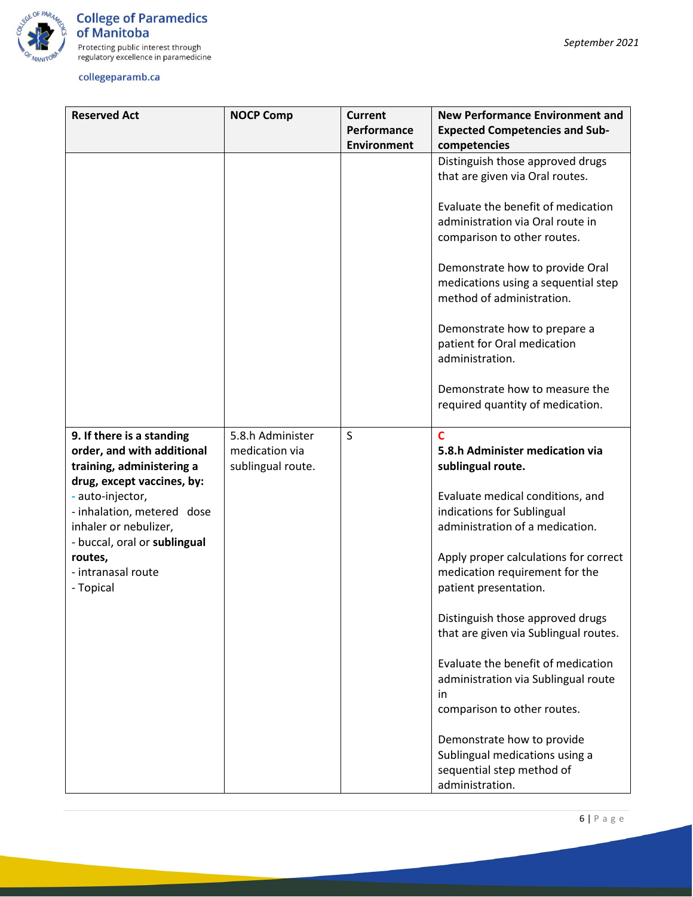

| <b>Reserved Act</b>                                                                                                | <b>NOCP Comp</b>                                        | <b>Current</b>     | <b>New Performance Environment and</b>                                                                         |
|--------------------------------------------------------------------------------------------------------------------|---------------------------------------------------------|--------------------|----------------------------------------------------------------------------------------------------------------|
|                                                                                                                    |                                                         | Performance        | <b>Expected Competencies and Sub-</b>                                                                          |
|                                                                                                                    |                                                         | <b>Environment</b> | competencies                                                                                                   |
|                                                                                                                    |                                                         |                    | Distinguish those approved drugs<br>that are given via Oral routes.                                            |
|                                                                                                                    |                                                         |                    | Evaluate the benefit of medication<br>administration via Oral route in<br>comparison to other routes.          |
|                                                                                                                    |                                                         |                    | Demonstrate how to provide Oral<br>medications using a sequential step<br>method of administration.            |
|                                                                                                                    |                                                         |                    | Demonstrate how to prepare a<br>patient for Oral medication<br>administration.                                 |
|                                                                                                                    |                                                         |                    | Demonstrate how to measure the<br>required quantity of medication.                                             |
| 9. If there is a standing<br>order, and with additional<br>training, administering a<br>drug, except vaccines, by: | 5.8.h Administer<br>medication via<br>sublingual route. | S                  | C<br>5.8.h Administer medication via<br>sublingual route.                                                      |
| - auto-injector,<br>- inhalation, metered dose<br>inhaler or nebulizer,                                            |                                                         |                    | Evaluate medical conditions, and<br>indications for Sublingual<br>administration of a medication.              |
| - buccal, oral or sublingual<br>routes,<br>- intranasal route<br>- Topical                                         |                                                         |                    | Apply proper calculations for correct<br>medication requirement for the<br>patient presentation.               |
|                                                                                                                    |                                                         |                    | Distinguish those approved drugs<br>that are given via Sublingual routes.                                      |
|                                                                                                                    |                                                         |                    | Evaluate the benefit of medication<br>administration via Sublingual route<br>in<br>comparison to other routes. |
|                                                                                                                    |                                                         |                    | Demonstrate how to provide<br>Sublingual medications using a<br>sequential step method of<br>administration.   |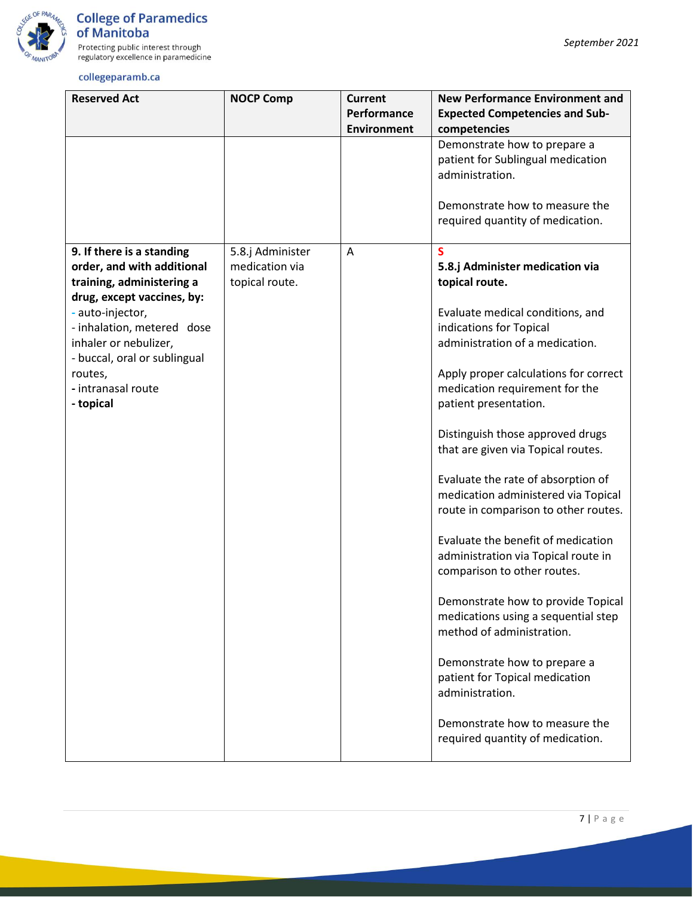

| <b>Reserved Act</b>                                                                                                                                                                                                                                                         | <b>NOCP Comp</b>                                     | <b>Current</b><br>Performance<br><b>Environment</b> | <b>New Performance Environment and</b><br><b>Expected Competencies and Sub-</b><br>competencies                                                                                                                                                                                                                                                                                                                                                                                                                                                                                                                                                                                                                                                                           |
|-----------------------------------------------------------------------------------------------------------------------------------------------------------------------------------------------------------------------------------------------------------------------------|------------------------------------------------------|-----------------------------------------------------|---------------------------------------------------------------------------------------------------------------------------------------------------------------------------------------------------------------------------------------------------------------------------------------------------------------------------------------------------------------------------------------------------------------------------------------------------------------------------------------------------------------------------------------------------------------------------------------------------------------------------------------------------------------------------------------------------------------------------------------------------------------------------|
|                                                                                                                                                                                                                                                                             |                                                      |                                                     | Demonstrate how to prepare a<br>patient for Sublingual medication<br>administration.<br>Demonstrate how to measure the<br>required quantity of medication.                                                                                                                                                                                                                                                                                                                                                                                                                                                                                                                                                                                                                |
| 9. If there is a standing<br>order, and with additional<br>training, administering a<br>drug, except vaccines, by:<br>- auto-injector,<br>- inhalation, metered dose<br>inhaler or nebulizer,<br>- buccal, oral or sublingual<br>routes,<br>- intranasal route<br>- topical | 5.8.j Administer<br>medication via<br>topical route. | Α                                                   | $\overline{\mathbf{S}}$<br>5.8.j Administer medication via<br>topical route.<br>Evaluate medical conditions, and<br>indications for Topical<br>administration of a medication.<br>Apply proper calculations for correct<br>medication requirement for the<br>patient presentation.<br>Distinguish those approved drugs<br>that are given via Topical routes.<br>Evaluate the rate of absorption of<br>medication administered via Topical<br>route in comparison to other routes.<br>Evaluate the benefit of medication<br>administration via Topical route in<br>comparison to other routes.<br>Demonstrate how to provide Topical<br>medications using a sequential step<br>method of administration.<br>Demonstrate how to prepare a<br>patient for Topical medication |
|                                                                                                                                                                                                                                                                             |                                                      |                                                     | administration.<br>Demonstrate how to measure the<br>required quantity of medication.                                                                                                                                                                                                                                                                                                                                                                                                                                                                                                                                                                                                                                                                                     |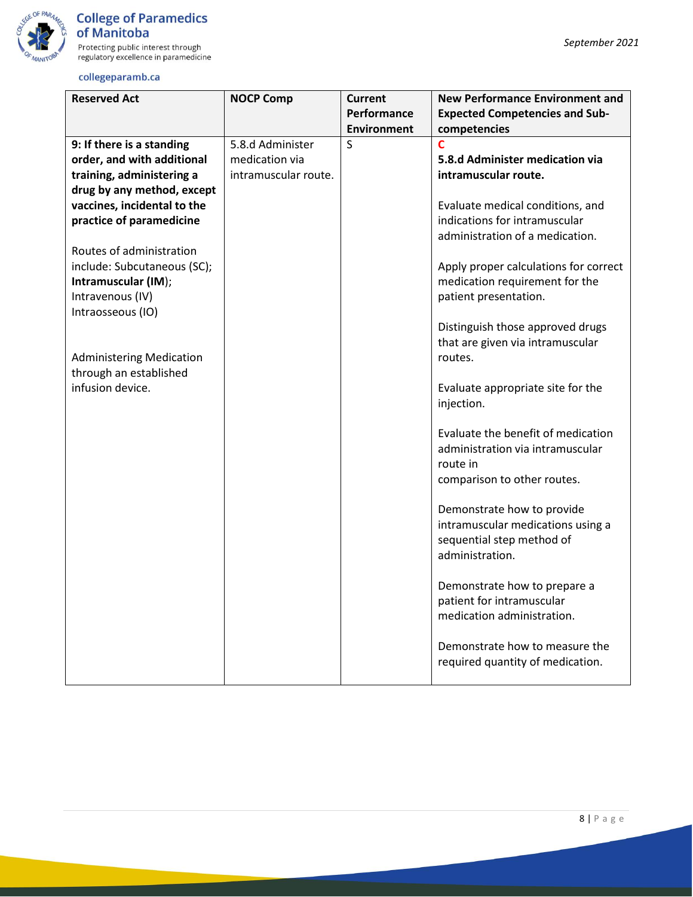

regulatory excellence in paramedicine collegeparamb.ca

#### **Reserved Act NOCP Comp Current Performance Environment New Performance Environment and Expected Competencies and Subcompetencies 9: If there is a standing order, and with additional training, administering a drug by any method, except vaccines, incidental to the practice of paramedicine** Routes of administration include: Subcutaneous (SC); **Intramuscular (IM**); Intravenous (IV) Intraosseous (IO) Administering Medication through an established infusion device. 5.8.d Administer medication via intramuscular route. S **C 5.8.d Administer medication via intramuscular route.** Evaluate medical conditions, and indications for intramuscular administration of a medication. Apply proper calculations for correct medication requirement for the patient presentation. Distinguish those approved drugs that are given via intramuscular routes. Evaluate appropriate site for the injection. Evaluate the benefit of medication administration via intramuscular route in comparison to other routes. Demonstrate how to provide intramuscular medications using a sequential step method of administration. Demonstrate how to prepare a patient for intramuscular medication administration. Demonstrate how to measure the required quantity of medication.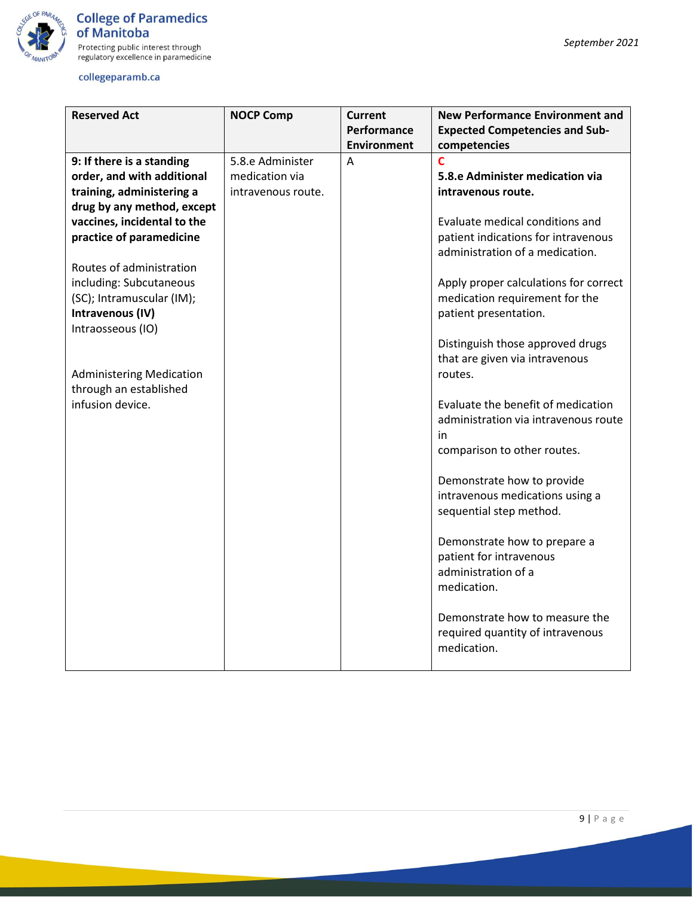

| <b>Reserved Act</b>             | <b>NOCP Comp</b>   | <b>Current</b><br>Performance | <b>New Performance Environment and</b><br><b>Expected Competencies and Sub-</b> |
|---------------------------------|--------------------|-------------------------------|---------------------------------------------------------------------------------|
|                                 |                    | <b>Environment</b>            | competencies                                                                    |
| 9: If there is a standing       | 5.8.e Administer   | Α                             | Ċ                                                                               |
| order, and with additional      | medication via     |                               | 5.8.e Administer medication via                                                 |
| training, administering a       | intravenous route. |                               | intravenous route.                                                              |
| drug by any method, except      |                    |                               |                                                                                 |
| vaccines, incidental to the     |                    |                               | Evaluate medical conditions and                                                 |
| practice of paramedicine        |                    |                               | patient indications for intravenous                                             |
| Routes of administration        |                    |                               | administration of a medication.                                                 |
| including: Subcutaneous         |                    |                               | Apply proper calculations for correct                                           |
| (SC); Intramuscular (IM);       |                    |                               | medication requirement for the                                                  |
| Intravenous (IV)                |                    |                               | patient presentation.                                                           |
| Intraosseous (IO)               |                    |                               |                                                                                 |
|                                 |                    |                               | Distinguish those approved drugs                                                |
|                                 |                    |                               | that are given via intravenous                                                  |
| <b>Administering Medication</b> |                    |                               | routes.                                                                         |
| through an established          |                    |                               |                                                                                 |
| infusion device.                |                    |                               | Evaluate the benefit of medication                                              |
|                                 |                    |                               | administration via intravenous route                                            |
|                                 |                    |                               | in                                                                              |
|                                 |                    |                               | comparison to other routes.                                                     |
|                                 |                    |                               |                                                                                 |
|                                 |                    |                               | Demonstrate how to provide                                                      |
|                                 |                    |                               | intravenous medications using a                                                 |
|                                 |                    |                               | sequential step method.                                                         |
|                                 |                    |                               | Demonstrate how to prepare a                                                    |
|                                 |                    |                               | patient for intravenous                                                         |
|                                 |                    |                               | administration of a                                                             |
|                                 |                    |                               | medication.                                                                     |
|                                 |                    |                               |                                                                                 |
|                                 |                    |                               | Demonstrate how to measure the                                                  |
|                                 |                    |                               | required quantity of intravenous                                                |
|                                 |                    |                               | medication.                                                                     |
|                                 |                    |                               |                                                                                 |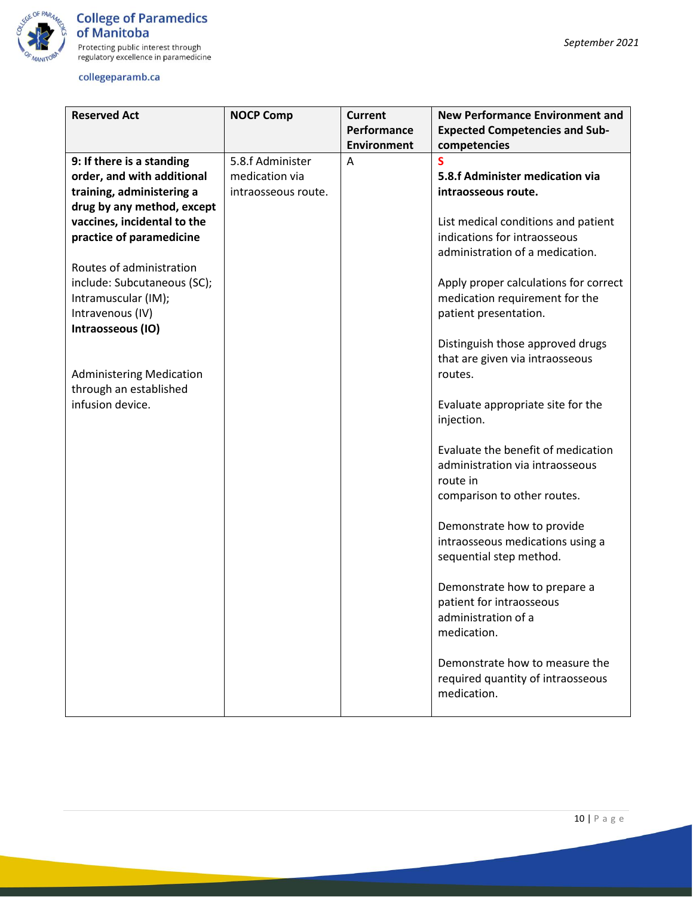

| <b>Reserved Act</b>             | <b>NOCP Comp</b>    | Current            | <b>New Performance Environment and</b> |
|---------------------------------|---------------------|--------------------|----------------------------------------|
|                                 |                     | Performance        | <b>Expected Competencies and Sub-</b>  |
|                                 |                     | <b>Environment</b> | competencies                           |
| 9: If there is a standing       | 5.8.f Administer    | Α                  | S                                      |
| order, and with additional      | medication via      |                    | 5.8.f Administer medication via        |
| training, administering a       | intraosseous route. |                    | intraosseous route.                    |
| drug by any method, except      |                     |                    |                                        |
| vaccines, incidental to the     |                     |                    | List medical conditions and patient    |
| practice of paramedicine        |                     |                    | indications for intraosseous           |
|                                 |                     |                    | administration of a medication.        |
| Routes of administration        |                     |                    |                                        |
| include: Subcutaneous (SC);     |                     |                    | Apply proper calculations for correct  |
| Intramuscular (IM);             |                     |                    | medication requirement for the         |
| Intravenous (IV)                |                     |                    | patient presentation.                  |
| Intraosseous (IO)               |                     |                    |                                        |
|                                 |                     |                    | Distinguish those approved drugs       |
|                                 |                     |                    | that are given via intraosseous        |
| <b>Administering Medication</b> |                     |                    | routes.                                |
| through an established          |                     |                    |                                        |
| infusion device.                |                     |                    | Evaluate appropriate site for the      |
|                                 |                     |                    | injection.                             |
|                                 |                     |                    |                                        |
|                                 |                     |                    | Evaluate the benefit of medication     |
|                                 |                     |                    | administration via intraosseous        |
|                                 |                     |                    | route in                               |
|                                 |                     |                    | comparison to other routes.            |
|                                 |                     |                    | Demonstrate how to provide             |
|                                 |                     |                    | intraosseous medications using a       |
|                                 |                     |                    | sequential step method.                |
|                                 |                     |                    |                                        |
|                                 |                     |                    | Demonstrate how to prepare a           |
|                                 |                     |                    | patient for intraosseous               |
|                                 |                     |                    | administration of a                    |
|                                 |                     |                    | medication.                            |
|                                 |                     |                    |                                        |
|                                 |                     |                    | Demonstrate how to measure the         |
|                                 |                     |                    | required quantity of intraosseous      |
|                                 |                     |                    | medication.                            |
|                                 |                     |                    |                                        |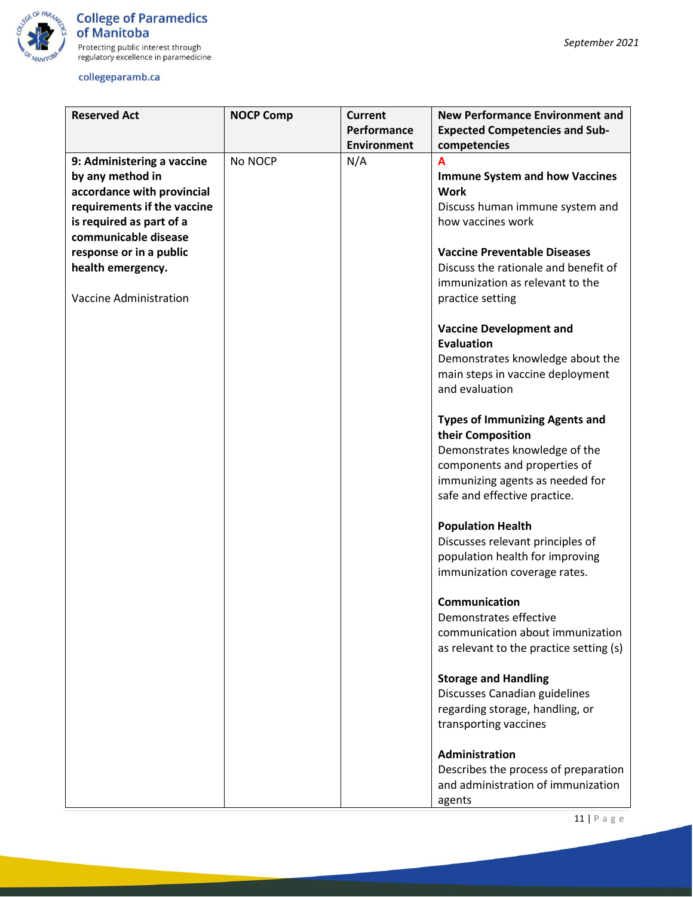

| <b>Reserved Act</b>         | <b>NOCP Comp</b> | <b>Current</b>     | <b>New Performance Environment and</b>  |
|-----------------------------|------------------|--------------------|-----------------------------------------|
|                             |                  | Performance        | <b>Expected Competencies and Sub-</b>   |
|                             |                  | <b>Environment</b> | competencies                            |
| 9: Administering a vaccine  | No NOCP          | N/A                | A                                       |
| by any method in            |                  |                    | <b>Immune System and how Vaccines</b>   |
| accordance with provincial  |                  |                    | <b>Work</b>                             |
| requirements if the vaccine |                  |                    | Discuss human immune system and         |
| is required as part of a    |                  |                    | how vaccines work                       |
| communicable disease        |                  |                    |                                         |
| response or in a public     |                  |                    | <b>Vaccine Preventable Diseases</b>     |
| health emergency.           |                  |                    | Discuss the rationale and benefit of    |
|                             |                  |                    | immunization as relevant to the         |
| Vaccine Administration      |                  |                    |                                         |
|                             |                  |                    | practice setting                        |
|                             |                  |                    | <b>Vaccine Development and</b>          |
|                             |                  |                    | <b>Evaluation</b>                       |
|                             |                  |                    | Demonstrates knowledge about the        |
|                             |                  |                    | main steps in vaccine deployment        |
|                             |                  |                    | and evaluation                          |
|                             |                  |                    |                                         |
|                             |                  |                    | <b>Types of Immunizing Agents and</b>   |
|                             |                  |                    | their Composition                       |
|                             |                  |                    | Demonstrates knowledge of the           |
|                             |                  |                    | components and properties of            |
|                             |                  |                    | immunizing agents as needed for         |
|                             |                  |                    | safe and effective practice.            |
|                             |                  |                    |                                         |
|                             |                  |                    | <b>Population Health</b>                |
|                             |                  |                    | Discusses relevant principles of        |
|                             |                  |                    | population health for improving         |
|                             |                  |                    | immunization coverage rates.            |
|                             |                  |                    |                                         |
|                             |                  |                    | Communication                           |
|                             |                  |                    | Demonstrates effective                  |
|                             |                  |                    | communication about immunization        |
|                             |                  |                    | as relevant to the practice setting (s) |
|                             |                  |                    |                                         |
|                             |                  |                    | <b>Storage and Handling</b>             |
|                             |                  |                    | Discusses Canadian guidelines           |
|                             |                  |                    | regarding storage, handling, or         |
|                             |                  |                    | transporting vaccines                   |
|                             |                  |                    | <b>Administration</b>                   |
|                             |                  |                    |                                         |
|                             |                  |                    | Describes the process of preparation    |
|                             |                  |                    | and administration of immunization      |
|                             |                  |                    | agents                                  |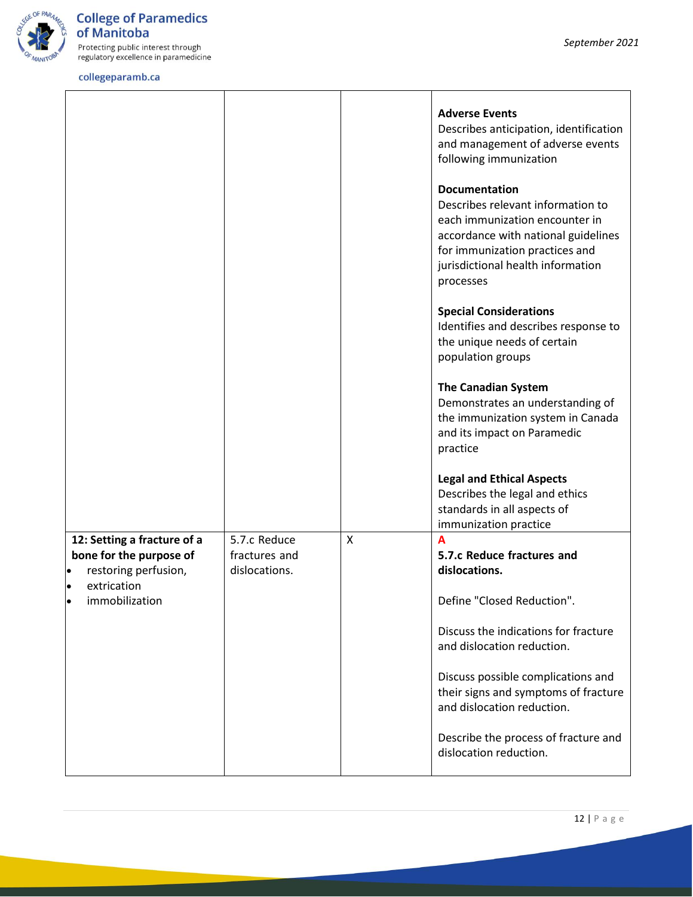

Protecting public interest through<br>regulatory excellence in paramedicine

|                                                                                                            |                                                |                           | <b>Adverse Events</b><br>Describes anticipation, identification<br>and management of adverse events<br>following immunization<br><b>Documentation</b><br>Describes relevant information to<br>each immunization encounter in<br>accordance with national guidelines<br>for immunization practices and<br>jurisdictional health information<br>processes |
|------------------------------------------------------------------------------------------------------------|------------------------------------------------|---------------------------|---------------------------------------------------------------------------------------------------------------------------------------------------------------------------------------------------------------------------------------------------------------------------------------------------------------------------------------------------------|
|                                                                                                            |                                                |                           | <b>Special Considerations</b><br>Identifies and describes response to<br>the unique needs of certain<br>population groups                                                                                                                                                                                                                               |
|                                                                                                            |                                                |                           | <b>The Canadian System</b><br>Demonstrates an understanding of<br>the immunization system in Canada<br>and its impact on Paramedic<br>practice                                                                                                                                                                                                          |
|                                                                                                            |                                                |                           | <b>Legal and Ethical Aspects</b><br>Describes the legal and ethics<br>standards in all aspects of<br>immunization practice                                                                                                                                                                                                                              |
| 12: Setting a fracture of a<br>bone for the purpose of<br>restoring perfusion,<br>$\bullet$<br>extrication | 5.7.c Reduce<br>fractures and<br>dislocations. | $\boldsymbol{\mathsf{X}}$ | A<br>5.7.c Reduce fractures and<br>dislocations.                                                                                                                                                                                                                                                                                                        |
| immobilization                                                                                             |                                                |                           | Define "Closed Reduction".<br>Discuss the indications for fracture<br>and dislocation reduction.                                                                                                                                                                                                                                                        |
|                                                                                                            |                                                |                           | Discuss possible complications and<br>their signs and symptoms of fracture<br>and dislocation reduction.                                                                                                                                                                                                                                                |
|                                                                                                            |                                                |                           | Describe the process of fracture and<br>dislocation reduction.                                                                                                                                                                                                                                                                                          |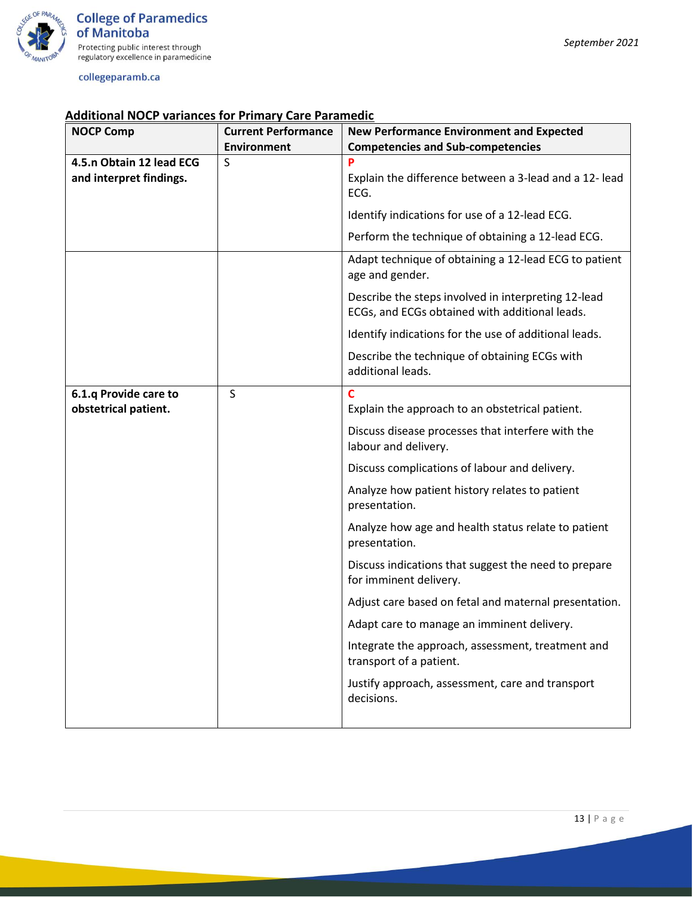

| <b>NOCP Comp</b>         | <b>Current Performance</b> | <b>New Performance Environment and Expected</b>                                                       |
|--------------------------|----------------------------|-------------------------------------------------------------------------------------------------------|
|                          | <b>Environment</b>         | <b>Competencies and Sub-competencies</b>                                                              |
| 4.5.n Obtain 12 lead ECG | S                          | P                                                                                                     |
| and interpret findings.  |                            | Explain the difference between a 3-lead and a 12- lead<br>ECG.                                        |
|                          |                            | Identify indications for use of a 12-lead ECG.                                                        |
|                          |                            | Perform the technique of obtaining a 12-lead ECG.                                                     |
|                          |                            | Adapt technique of obtaining a 12-lead ECG to patient<br>age and gender.                              |
|                          |                            | Describe the steps involved in interpreting 12-lead<br>ECGs, and ECGs obtained with additional leads. |
|                          |                            | Identify indications for the use of additional leads.                                                 |
|                          |                            | Describe the technique of obtaining ECGs with<br>additional leads.                                    |
| 6.1.q Provide care to    | S                          | C                                                                                                     |
| obstetrical patient.     |                            | Explain the approach to an obstetrical patient.                                                       |
|                          |                            | Discuss disease processes that interfere with the<br>labour and delivery.                             |
|                          |                            | Discuss complications of labour and delivery.                                                         |
|                          |                            | Analyze how patient history relates to patient<br>presentation.                                       |
|                          |                            | Analyze how age and health status relate to patient<br>presentation.                                  |
|                          |                            | Discuss indications that suggest the need to prepare<br>for imminent delivery.                        |
|                          |                            | Adjust care based on fetal and maternal presentation.                                                 |
|                          |                            | Adapt care to manage an imminent delivery.                                                            |
|                          |                            | Integrate the approach, assessment, treatment and<br>transport of a patient.                          |
|                          |                            | Justify approach, assessment, care and transport<br>decisions.                                        |
|                          |                            |                                                                                                       |

# **Additional NOCP variances for Primary Care Paramedic**